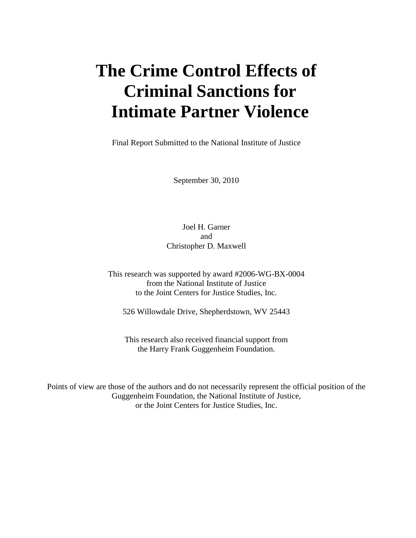**The author(s) shown below used Federal funds provided by the U.S. Department of Justice and prepared the following final report:**

| <b>Document Title:</b> | The Crime Control Effects of Criminal Sanctions<br>for Intimate Partner Violence |
|------------------------|----------------------------------------------------------------------------------|
| Author:                | Joel H. Garner, Christopher D. Maxwell                                           |
| <b>Document No.:</b>   | 236959                                                                           |
| <b>Date Received:</b>  | December 2011                                                                    |
| <b>Award Number:</b>   | 2006-WG-BX-0004                                                                  |

**This report has not been published by the U.S. Department of Justice. To provide better customer service, NCJRS has made this Federallyfunded grant final report available electronically in addition to traditional paper copies.** 

> **Opinions or points of view expressed are those of the author(s) and do not necessarily reflect the official position or policies of the U.S. Department of Justice.**